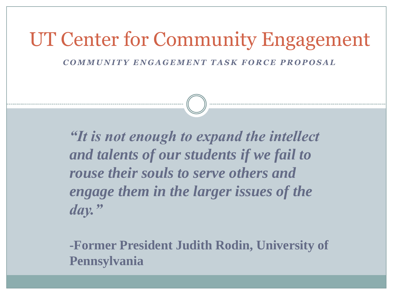### UT Center for Community Engagement

*C O M M U N I T Y E N G A G E M E N T T A S K F O R C E P R O P O S A L* 

*"It is not enough to expand the intellect and talents of our students if we fail to rouse their souls to serve others and engage them in the larger issues of the day."* 

**-Former President Judith Rodin, University of Pennsylvania**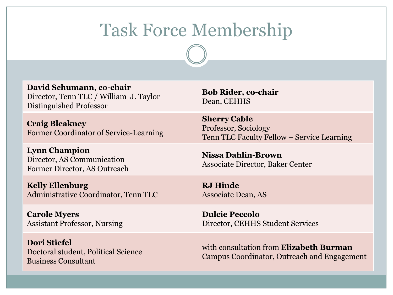## Task Force Membership

| David Schumann, co-chair<br>Director, Tenn TLC / William J. Taylor<br>Distinguished Professor | <b>Bob Rider, co-chair</b><br>Dean, CEHHS                                                 |
|-----------------------------------------------------------------------------------------------|-------------------------------------------------------------------------------------------|
| <b>Craig Bleakney</b><br><b>Former Coordinator of Service-Learning</b>                        | <b>Sherry Cable</b><br>Professor, Sociology<br>Tenn TLC Faculty Fellow – Service Learning |
| <b>Lynn Champion</b><br>Director, AS Communication<br>Former Director, AS Outreach            | <b>Nissa Dahlin-Brown</b><br><b>Associate Director, Baker Center</b>                      |
|                                                                                               |                                                                                           |
| <b>Kelly Ellenburg</b><br>Administrative Coordinator, Tenn TLC                                | <b>RJ</b> Hinde<br>Associate Dean, AS                                                     |
| <b>Carole Myers</b><br><b>Assistant Professor, Nursing</b>                                    | <b>Dulcie Peccolo</b><br>Director, CEHHS Student Services                                 |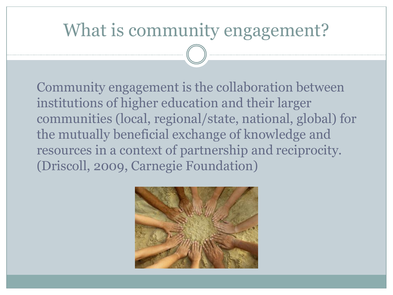#### What is community engagement?

Community engagement is the collaboration between institutions of higher education and their larger communities (local, regional/state, national, global) for the mutually beneficial exchange of knowledge and resources in a context of partnership and reciprocity. (Driscoll, 2009, Carnegie Foundation)

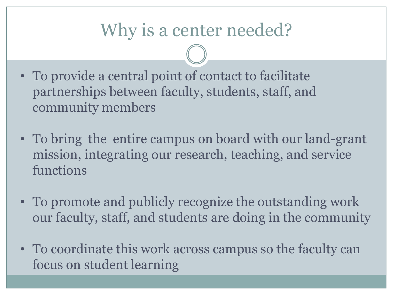#### Why is a center needed?

- To provide a central point of contact to facilitate partnerships between faculty, students, staff, and community members
- To bring the entire campus on board with our land-grant mission, integrating our research, teaching, and service functions
- To promote and publicly recognize the outstanding work our faculty, staff, and students are doing in the community
- To coordinate this work across campus so the faculty can focus on student learning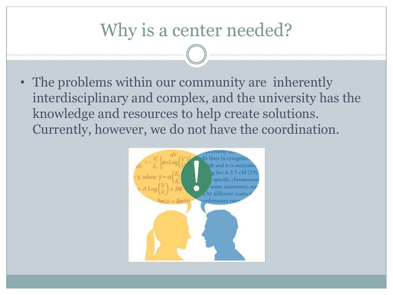#### Why is a center needed?

• The problems within our community are inherently interdisciplinary and complex, and the university has the knowledge and resources to help create solutions. Currently, however, we do not have the coordination.

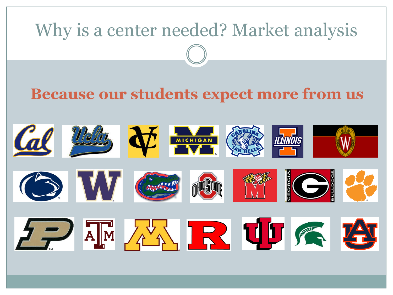# Why is a center needed? Market analysis **Because our students expect more from us**Cal Weltz JE MICHIGAN COR **THE SECOND SECTION** O W GAR 五、不好 RUF 图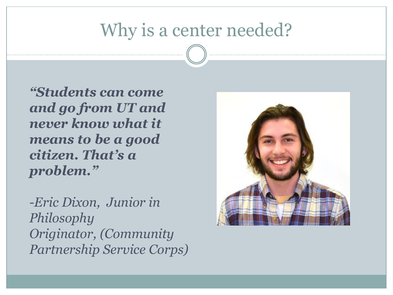#### Why is a center needed?

*"Students can come and go from UT and never know what it means to be a good citizen. That's a problem."*

*-Eric Dixon, Junior in Philosophy Originator, (Community Partnership Service Corps)*

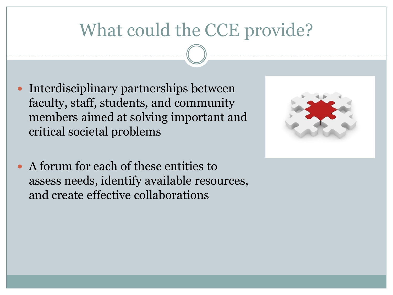### What could the CCE provide?

- Interdisciplinary partnerships between faculty, staff, students, and community members aimed at solving important and critical societal problems
- A forum for each of these entities to assess needs, identify available resources, and create effective collaborations

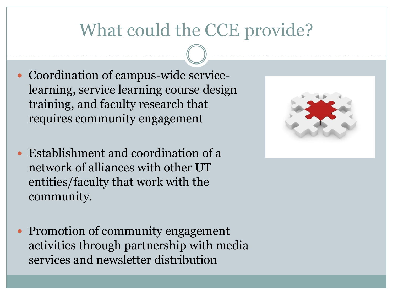#### What could the CCE provide?

- Coordination of campus-wide servicelearning, service learning course design training, and faculty research that requires community engagement
- Establishment and coordination of a network of alliances with other UT entities/faculty that work with the community.
- Promotion of community engagement activities through partnership with media services and newsletter distribution

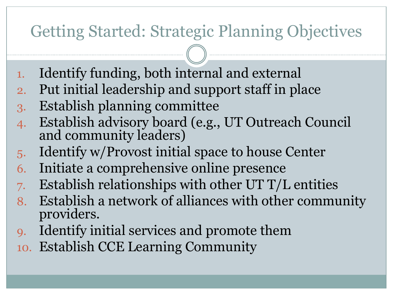#### Getting Started: Strategic Planning Objectives

- 1. Identify funding, both internal and external
- 2. Put initial leadership and support staff in place
- 3. Establish planning committee
- 4. Establish advisory board (e.g., UT Outreach Council and community leaders)
- 5. Identify w/Provost initial space to house Center
- 6. Initiate a comprehensive online presence
- 7. Establish relationships with other UT  $T/L$  entities
- 8. Establish a network of alliances with other community providers.
- 9. Identify initial services and promote them
- 10. Establish CCE Learning Community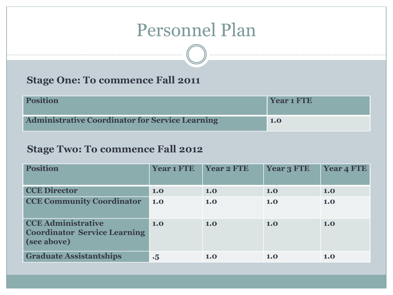#### Personnel Plan

#### **Stage One: To commence Fall 2011**

| <b>Position</b>                                        | <b>Year 1 FTE</b> |
|--------------------------------------------------------|-------------------|
| <b>Administrative Coordinator for Service Learning</b> | <b>1.0</b>        |

#### **Stage Two: To commence Fall 2012**

| <b>Position</b>                                                                 | <b>Year 1 FTE</b> | <b>Year 2 FTE</b> | <b>Year 3 FTE</b> | <b>Year 4 FTE</b> |
|---------------------------------------------------------------------------------|-------------------|-------------------|-------------------|-------------------|
| <b>CCE Director</b>                                                             | 1.0               | 1.0               | 1.0               | 1.0               |
| <b>CCE Community Coordinator</b>                                                | 1.0               | 1.0               | 1.0               | 1.0               |
| <b>CCE Administrative</b><br><b>Coordinator Service Learning</b><br>(see above) | 1.0               | 1.0               | 1.0               | 1.0               |
| <b>Graduate Assistantships</b>                                                  | $\cdot 5$         | 1.0               | 1.0               | 1.0               |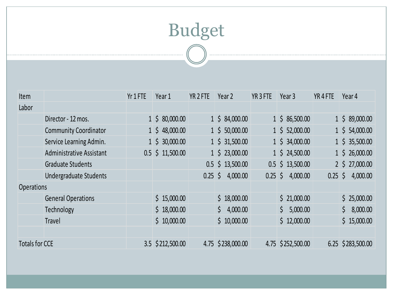## Budget<br>
<del>
</del>

| <b>Item</b>           |                                 | Yr 1 FTE | Year 1             | YR <sub>2</sub> FTE | Year 2             | YR <sub>3</sub> FTE | Year 3             | YR <sub>4FTE</sub> | Year 4               |
|-----------------------|---------------------------------|----------|--------------------|---------------------|--------------------|---------------------|--------------------|--------------------|----------------------|
| Labor                 |                                 |          |                    |                     |                    |                     |                    |                    |                      |
|                       | Director - 12 mos.              |          | $1 \div 80,000.00$ |                     | $1 \div 84,000.00$ |                     | $1 \div 86,500.00$ |                    | $1 \div 89,000.00$   |
|                       | <b>Community Coordinator</b>    |          | $1 \div 48,000.00$ |                     | $1 \div 50,000.00$ |                     | $1 \div 52,000.00$ |                    | $1 \div 54,000.00$   |
|                       | Service Learning Admin.         |          | $1 \div 30,000.00$ |                     | $1 \div 31,500.00$ |                     | $1 \div 34,000.00$ |                    | $1 \div 35,500.00$   |
|                       | <b>Administrative Assistant</b> |          | $0.5$ \$ 11,500.00 |                     | $1 \div 23,000.00$ |                     | $1 \div 24,500.00$ |                    | $1 \div 26,000.00$   |
|                       | <b>Graduate Students</b>        |          |                    |                     | $0.5$ \$ 13,500.00 |                     | $0.5$ \$ 13,500.00 |                    | $2 \div 27,000.00$   |
|                       | <b>Undergraduate Students</b>   |          |                    | $0.25$ \$           | 4,000.00           | $0.25$ \$           | 4,000.00           |                    | $0.25 \div 4,000.00$ |
| <b>Operations</b>     |                                 |          |                    |                     |                    |                     |                    |                    |                      |
|                       | <b>General Operations</b>       |          | \$15,000.00        |                     | \$18,000.00        |                     | \$21,000.00        |                    | \$25,000.00          |
|                       | Technology                      |          | \$18,000.00        |                     | \$4,000.00         |                     | \$5,000.00         |                    | \$8,000.00           |
|                       | Travel                          |          | \$10,000.00        |                     | \$10,000.00        |                     | \$12,000.00        |                    | \$15,000.00          |
|                       |                                 |          |                    |                     |                    |                     |                    |                    |                      |
| <b>Totals for CCE</b> |                                 |          | 3.5 \$212,500.00   |                     | 4.75 \$238,000.00  |                     | 4.75 \$252,500.00  |                    | 6.25 \$283,500.00    |